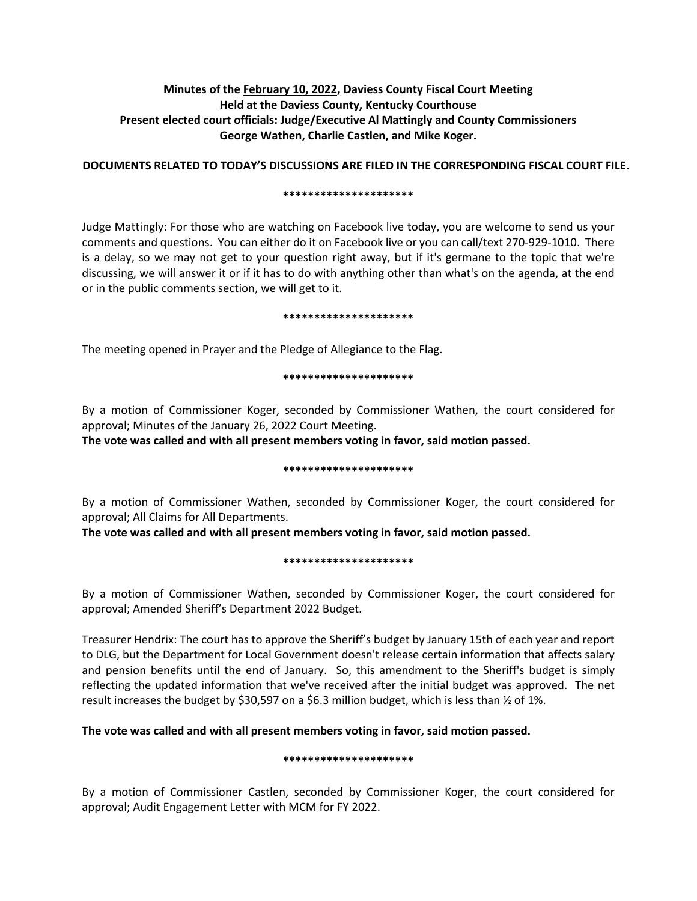# **Minutes of the February 10, 2022, Daviess County Fiscal Court Meeting Held at the Daviess County, Kentucky Courthouse Present elected court officials: Judge/Executive Al Mattingly and County Commissioners George Wathen, Charlie Castlen, and Mike Koger.**

## **DOCUMENTS RELATED TO TODAY'S DISCUSSIONS ARE FILED IN THE CORRESPONDING FISCAL COURT FILE.**

#### **\*\*\*\*\*\*\*\*\*\*\*\*\*\*\*\*\*\*\*\*\***

Judge Mattingly: For those who are watching on Facebook live today, you are welcome to send us your comments and questions. You can either do it on Facebook live or you can call/text 270-929-1010. There is a delay, so we may not get to your question right away, but if it's germane to the topic that we're discussing, we will answer it or if it has to do with anything other than what's on the agenda, at the end or in the public comments section, we will get to it.

### **\*\*\*\*\*\*\*\*\*\*\*\*\*\*\*\*\*\*\*\*\***

The meeting opened in Prayer and the Pledge of Allegiance to the Flag.

### **\*\*\*\*\*\*\*\*\*\*\*\*\*\*\*\*\*\*\*\*\***

By a motion of Commissioner Koger, seconded by Commissioner Wathen, the court considered for approval; Minutes of the January 26, 2022 Court Meeting.

**The vote was called and with all present members voting in favor, said motion passed.** 

#### **\*\*\*\*\*\*\*\*\*\*\*\*\*\*\*\*\*\*\*\*\***

By a motion of Commissioner Wathen, seconded by Commissioner Koger, the court considered for approval; All Claims for All Departments.

**The vote was called and with all present members voting in favor, said motion passed.** 

## **\*\*\*\*\*\*\*\*\*\*\*\*\*\*\*\*\*\*\*\*\***

By a motion of Commissioner Wathen, seconded by Commissioner Koger, the court considered for approval; Amended Sheriff's Department 2022 Budget.

Treasurer Hendrix: The court has to approve the Sheriff's budget by January 15th of each year and report to DLG, but the Department for Local Government doesn't release certain information that affects salary and pension benefits until the end of January. So, this amendment to the Sheriff's budget is simply reflecting the updated information that we've received after the initial budget was approved. The net result increases the budget by \$30,597 on a \$6.3 million budget, which is less than ½ of 1%.

# **The vote was called and with all present members voting in favor, said motion passed.**

## **\*\*\*\*\*\*\*\*\*\*\*\*\*\*\*\*\*\*\*\*\***

By a motion of Commissioner Castlen, seconded by Commissioner Koger, the court considered for approval; Audit Engagement Letter with MCM for FY 2022.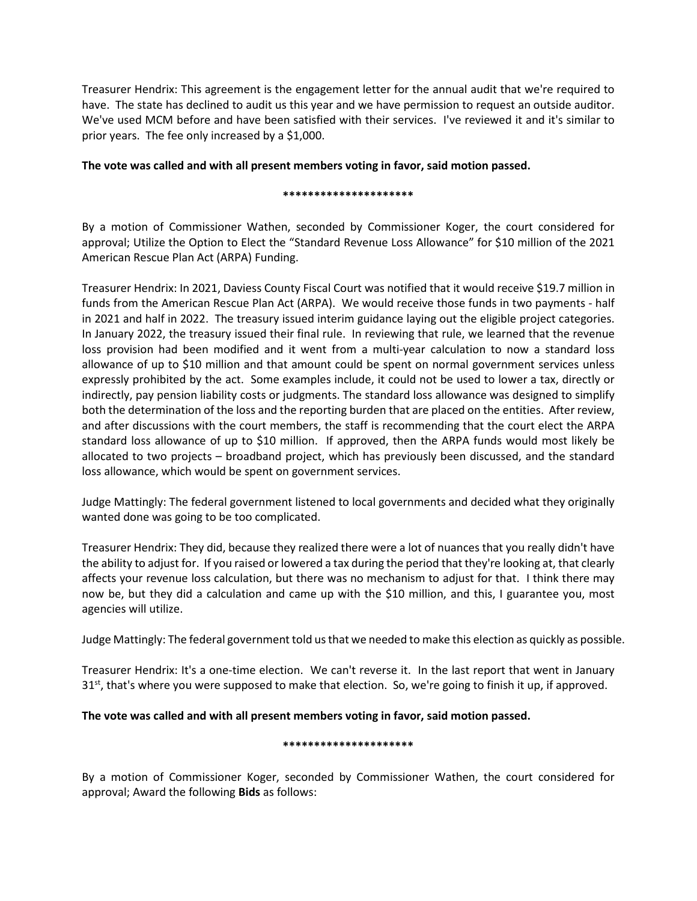Treasurer Hendrix: This agreement is the engagement letter for the annual audit that we're required to have. The state has declined to audit us this year and we have permission to request an outside auditor. We've used MCM before and have been satisfied with their services. I've reviewed it and it's similar to prior years. The fee only increased by a \$1,000.

**The vote was called and with all present members voting in favor, said motion passed.** 

## **\*\*\*\*\*\*\*\*\*\*\*\*\*\*\*\*\*\*\*\*\***

By a motion of Commissioner Wathen, seconded by Commissioner Koger, the court considered for approval; Utilize the Option to Elect the "Standard Revenue Loss Allowance" for \$10 million of the 2021 American Rescue Plan Act (ARPA) Funding.

Treasurer Hendrix: In 2021, Daviess County Fiscal Court was notified that it would receive \$19.7 million in funds from the American Rescue Plan Act (ARPA). We would receive those funds in two payments - half in 2021 and half in 2022. The treasury issued interim guidance laying out the eligible project categories. In January 2022, the treasury issued their final rule. In reviewing that rule, we learned that the revenue loss provision had been modified and it went from a multi-year calculation to now a standard loss allowance of up to \$10 million and that amount could be spent on normal government services unless expressly prohibited by the act. Some examples include, it could not be used to lower a tax, directly or indirectly, pay pension liability costs or judgments. The standard loss allowance was designed to simplify both the determination of the loss and the reporting burden that are placed on the entities. After review, and after discussions with the court members, the staff is recommending that the court elect the ARPA standard loss allowance of up to \$10 million. If approved, then the ARPA funds would most likely be allocated to two projects – broadband project, which has previously been discussed, and the standard loss allowance, which would be spent on government services.

Judge Mattingly: The federal government listened to local governments and decided what they originally wanted done was going to be too complicated.

Treasurer Hendrix: They did, because they realized there were a lot of nuances that you really didn't have the ability to adjust for. If you raised or lowered a tax during the period that they're looking at, that clearly affects your revenue loss calculation, but there was no mechanism to adjust for that. I think there may now be, but they did a calculation and came up with the \$10 million, and this, I guarantee you, most agencies will utilize.

Judge Mattingly: The federal government told us that we needed to make this election as quickly as possible.

Treasurer Hendrix: It's a one-time election. We can't reverse it. In the last report that went in January  $31<sup>st</sup>$ , that's where you were supposed to make that election. So, we're going to finish it up, if approved.

# **The vote was called and with all present members voting in favor, said motion passed.**

## **\*\*\*\*\*\*\*\*\*\*\*\*\*\*\*\*\*\*\*\*\***

By a motion of Commissioner Koger, seconded by Commissioner Wathen, the court considered for approval; Award the following **Bids** as follows: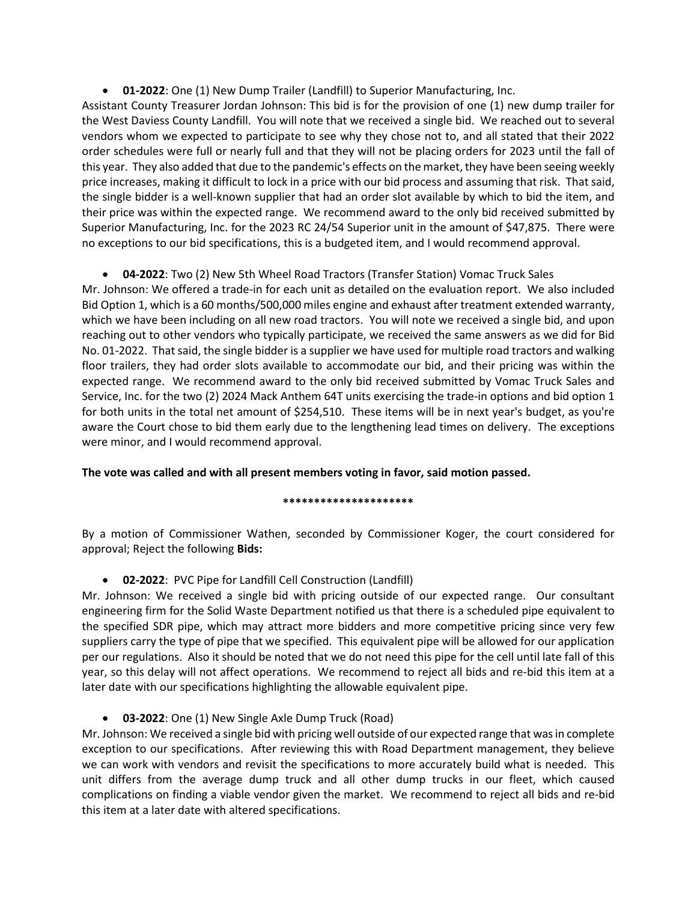• **01-2022**: One (1) New Dump Trailer (Landfill) to Superior Manufacturing, Inc.

Assistant County Treasurer Jordan Johnson: This bid is for the provision of one (1) new dump trailer for the West Daviess County Landfill. You will note that we received a single bid. We reached out to several vendors whom we expected to participate to see why they chose not to, and all stated that their 2022 order schedules were full or nearly full and that they will not be placing orders for 2023 until the fall of this year. They also added that due to the pandemic's effects on the market, they have been seeing weekly price increases, making it difficult to lock in a price with our bid process and assuming that risk. That said, the single bidder is a well-known supplier that had an order slot available by which to bid the item, and their price was within the expected range. We recommend award to the only bid received submitted by Superior Manufacturing, Inc. for the 2023 RC 24/54 Superior unit in the amount of \$47,875. There were no exceptions to our bid specifications, this is a budgeted item, and I would recommend approval.

• **04-2022**: Two (2) New 5th Wheel Road Tractors (Transfer Station) Vomac Truck Sales

Mr. Johnson: We offered a trade-in for each unit as detailed on the evaluation report. We also included Bid Option 1, which is a 60 months/500,000 miles engine and exhaust after treatment extended warranty, which we have been including on all new road tractors. You will note we received a single bid, and upon reaching out to other vendors who typically participate, we received the same answers as we did for Bid No. 01-2022. That said, the single bidder is a supplier we have used for multiple road tractors and walking floor trailers, they had order slots available to accommodate our bid, and their pricing was within the expected range. We recommend award to the only bid received submitted by Vomac Truck Sales and Service, Inc. for the two (2) 2024 Mack Anthem 64T units exercising the trade-in options and bid option 1 for both units in the total net amount of \$254,510. These items will be in next year's budget, as you're aware the Court chose to bid them early due to the lengthening lead times on delivery. The exceptions were minor, and I would recommend approval.

**The vote was called and with all present members voting in favor, said motion passed.** 

# **\*\*\*\*\*\*\*\*\*\*\*\*\*\*\*\*\*\*\*\*\***

By a motion of Commissioner Wathen, seconded by Commissioner Koger, the court considered for approval; Reject the following **Bids:**

# • **02-2022**: PVC Pipe for Landfill Cell Construction (Landfill)

Mr. Johnson: We received a single bid with pricing outside of our expected range. Our consultant engineering firm for the Solid Waste Department notified us that there is a scheduled pipe equivalent to the specified SDR pipe, which may attract more bidders and more competitive pricing since very few suppliers carry the type of pipe that we specified. This equivalent pipe will be allowed for our application per our regulations. Also it should be noted that we do not need this pipe for the cell until late fall of this year, so this delay will not affect operations. We recommend to reject all bids and re-bid this item at a later date with our specifications highlighting the allowable equivalent pipe.

• **03-2022**: One (1) New Single Axle Dump Truck (Road)

Mr. Johnson: We received a single bid with pricing well outside of our expected range that was in complete exception to our specifications. After reviewing this with Road Department management, they believe we can work with vendors and revisit the specifications to more accurately build what is needed. This unit differs from the average dump truck and all other dump trucks in our fleet, which caused complications on finding a viable vendor given the market. We recommend to reject all bids and re-bid this item at a later date with altered specifications.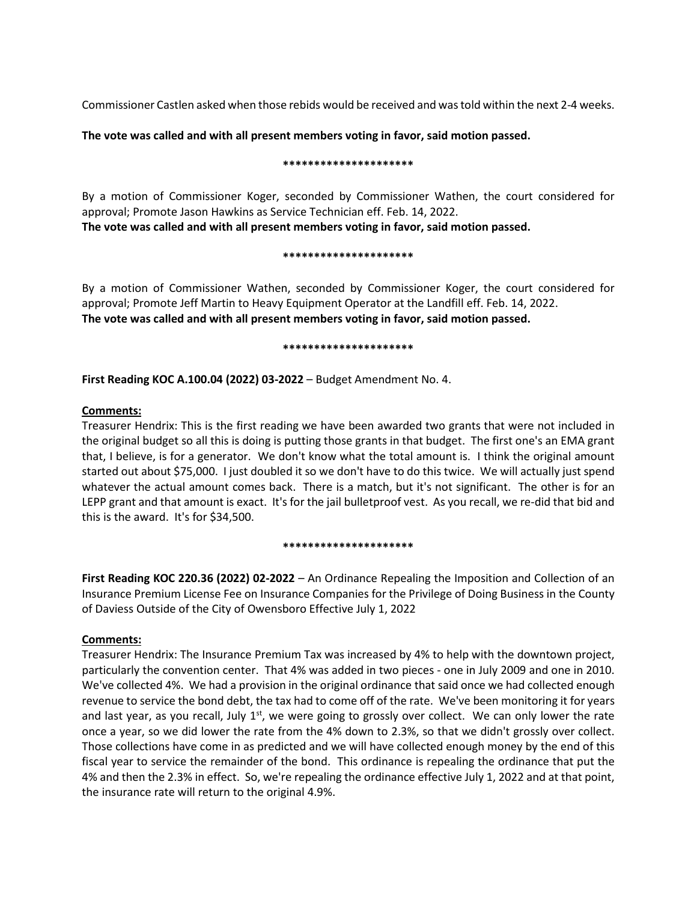Commissioner Castlen asked when those rebids would be received and was told within the next 2-4 weeks.

## **The vote was called and with all present members voting in favor, said motion passed.**

### **\*\*\*\*\*\*\*\*\*\*\*\*\*\*\*\*\*\*\*\*\***

By a motion of Commissioner Koger, seconded by Commissioner Wathen, the court considered for approval; Promote Jason Hawkins as Service Technician eff. Feb. 14, 2022. **The vote was called and with all present members voting in favor, said motion passed.** 

### **\*\*\*\*\*\*\*\*\*\*\*\*\*\*\*\*\*\*\*\*\***

By a motion of Commissioner Wathen, seconded by Commissioner Koger, the court considered for approval; Promote Jeff Martin to Heavy Equipment Operator at the Landfill eff. Feb. 14, 2022. **The vote was called and with all present members voting in favor, said motion passed.** 

### **\*\*\*\*\*\*\*\*\*\*\*\*\*\*\*\*\*\*\*\*\***

**First Reading KOC A.100.04 (2022) 03-2022** – Budget Amendment No. 4.

# **Comments:**

Treasurer Hendrix: This is the first reading we have been awarded two grants that were not included in the original budget so all this is doing is putting those grants in that budget. The first one's an EMA grant that, I believe, is for a generator. We don't know what the total amount is. I think the original amount started out about \$75,000. I just doubled it so we don't have to do this twice. We will actually just spend whatever the actual amount comes back. There is a match, but it's not significant. The other is for an LEPP grant and that amount is exact. It's for the jail bulletproof vest. As you recall, we re-did that bid and this is the award. It's for \$34,500.

## **\*\*\*\*\*\*\*\*\*\*\*\*\*\*\*\*\*\*\*\*\***

**First Reading KOC 220.36 (2022) 02-2022** – An Ordinance Repealing the Imposition and Collection of an Insurance Premium License Fee on Insurance Companies for the Privilege of Doing Business in the County of Daviess Outside of the City of Owensboro Effective July 1, 2022

# **Comments:**

Treasurer Hendrix: The Insurance Premium Tax was increased by 4% to help with the downtown project, particularly the convention center. That 4% was added in two pieces - one in July 2009 and one in 2010. We've collected 4%. We had a provision in the original ordinance that said once we had collected enough revenue to service the bond debt, the tax had to come off of the rate. We've been monitoring it for years and last year, as you recall, July  $1<sup>st</sup>$ , we were going to grossly over collect. We can only lower the rate once a year, so we did lower the rate from the 4% down to 2.3%, so that we didn't grossly over collect. Those collections have come in as predicted and we will have collected enough money by the end of this fiscal year to service the remainder of the bond. This ordinance is repealing the ordinance that put the 4% and then the 2.3% in effect. So, we're repealing the ordinance effective July 1, 2022 and at that point, the insurance rate will return to the original 4.9%.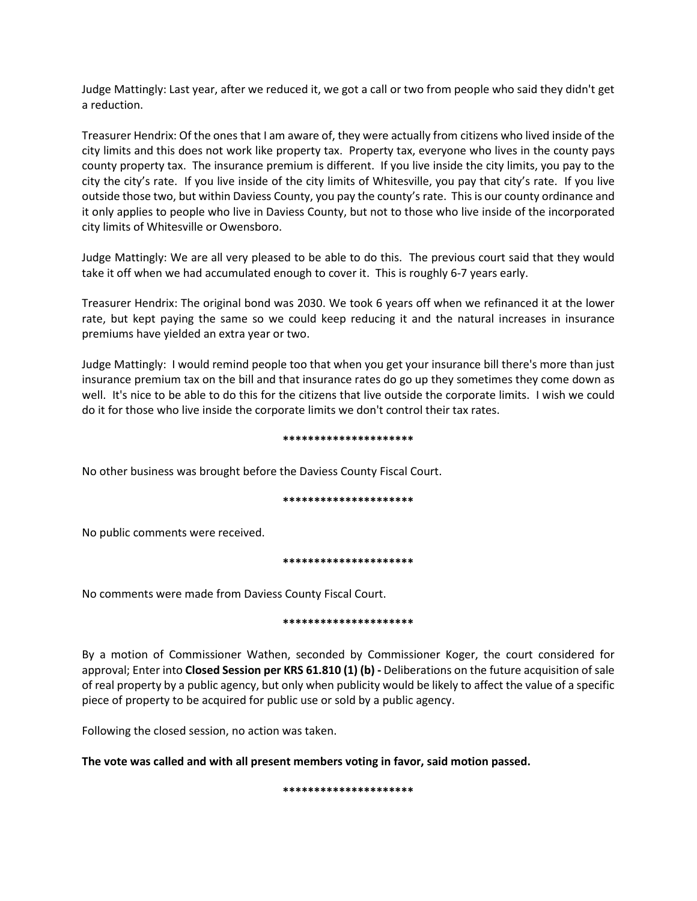Judge Mattingly: Last year, after we reduced it, we got a call or two from people who said they didn't get a reduction.

Treasurer Hendrix: Of the ones that I am aware of, they were actually from citizens who lived inside of the city limits and this does not work like property tax. Property tax, everyone who lives in the county pays county property tax. The insurance premium is different. If you live inside the city limits, you pay to the city the city's rate. If you live inside of the city limits of Whitesville, you pay that city's rate. If you live outside those two, but within Daviess County, you pay the county's rate. This is our county ordinance and it only applies to people who live in Daviess County, but not to those who live inside of the incorporated city limits of Whitesville or Owensboro.

Judge Mattingly: We are all very pleased to be able to do this. The previous court said that they would take it off when we had accumulated enough to cover it. This is roughly 6-7 years early.

Treasurer Hendrix: The original bond was 2030. We took 6 years off when we refinanced it at the lower rate, but kept paying the same so we could keep reducing it and the natural increases in insurance premiums have yielded an extra year or two.

Judge Mattingly: I would remind people too that when you get your insurance bill there's more than just insurance premium tax on the bill and that insurance rates do go up they sometimes they come down as well. It's nice to be able to do this for the citizens that live outside the corporate limits. I wish we could do it for those who live inside the corporate limits we don't control their tax rates.

#### **\*\*\*\*\*\*\*\*\*\*\*\*\*\*\*\*\*\*\*\*\***

No other business was brought before the Daviess County Fiscal Court.

## **\*\*\*\*\*\*\*\*\*\*\*\*\*\*\*\*\*\*\*\*\***

No public comments were received.

## **\*\*\*\*\*\*\*\*\*\*\*\*\*\*\*\*\*\*\*\*\***

No comments were made from Daviess County Fiscal Court.

#### **\*\*\*\*\*\*\*\*\*\*\*\*\*\*\*\*\*\*\*\*\***

By a motion of Commissioner Wathen, seconded by Commissioner Koger, the court considered for approval; Enter into **Closed Session per KRS 61.810 (1) (b) -** Deliberations on the future acquisition of sale of real property by a public agency, but only when publicity would be likely to affect the value of a specific piece of property to be acquired for public use or sold by a public agency.

Following the closed session, no action was taken.

**The vote was called and with all present members voting in favor, said motion passed.** 

**\*\*\*\*\*\*\*\*\*\*\*\*\*\*\*\*\*\*\*\*\***